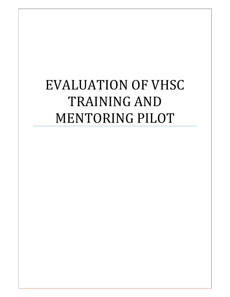# EVALUATION OF VHSC TRAINING AND MENTORING PILOT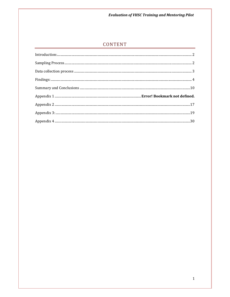**Evaluation of VHSC Training and Mentoring Pilot** 

# CONTENT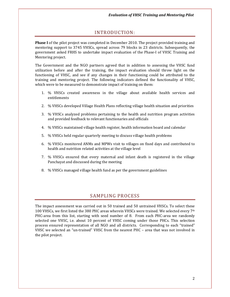# INTRODUCTION:

Phase I of the pilot project was completed in December 2010. The project provided training and mentoring support to 3745 VHSCs, spread across 79 blocks in 23 districts. Subsequently, the government asked FRHS to undertake impact evaluation of the Phase-I of VHSC Training and Mentoring project.

The Government and the NGO partners agreed that in addition to assessing the VHSC fund utilization before and after the training, the impact evaluation should throw light on the functioning of VHSC, and see if any changes in their functioning could be attributed to the training and mentoring project. The following indicators defined the functionality of VHSC, which were to be measured to demonstrate impact of training on them:

- 1. % VHSCs created awareness in the village about available health services and entitlements
- 2. % VHSCs developed Village Health Plans reflecting village health situation and priorities
- 3. % VHSCs analyzed problems pertaining to the health and nutrition program activities and provided feedback to relevant functionaries and officials
- 4. % VHSCs maintained village health register, health information board and calendar
- 5. % VHSCs held regular quarterly meeting to discuss village health problems
- 6. % VHSCs monitored ANMs and MPWs visit to villages on fixed days and contributed to health and nutrition related activities at the village level
- 7. % VHSCs ensured that every maternal and infant death is registered in the village Panchayat and discussed during the meeting
- 8. % VHSCs managed village health fund as per the government guidelines

# SAMPLING PROCESS

The impact assessment was carried out in 50 trained and 50 untrained VHSCs. To select these 100 VHSCs, we first listed the 380 PHC areas wherein VHSCs were trained. We selected every  $7<sup>th</sup>$ PHC-area from this list, starting with seed number of 8. From each PHC-area we randomly selected one VHSC, i.e. about 10 percent of VHSC coming under those PHCs. This selection process ensured representation of all NGO and all districts. Corresponding to each "trained" VHSC we selected an "un-trained" VHSC from the nearest PHC – area that was not involved in the pilot project.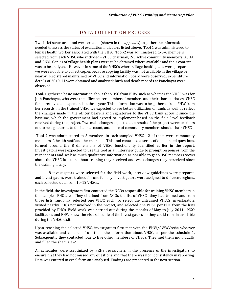# DATA COLLECTION PROCESS

Two brief structured tool were created (shown in the *appendix*) to gather the information needed to assess the status of evaluation indicators listed above. Tool 1 was administered to female health worker associated with the VHSC. Tool-2 was administered to 5-6 members selected from each VHSC who included - VHSC chairman, 2-3 active community members, ASHA and ANM. Copies of village health plans were to be obtained where available and their content was to be analyzed. However in some of the VHSCs where village health plans were prepared, we were not able to collect copies because copying facility was not available in the village or nearby. Registered maintained by VHSC and information board were observed; expenditure details of 2010-11 were obtained and analysed; birth and death records at Panchayat were observed.

Tool-1 gathered basic information about the VHSC from FHW such as whether the VHSC was for Juth Panchayat, who were the office bearer, number of members and their characteristics; VHSC funds received and spent in last three year. This information was to be gathered from FHW from her records. In the trained VHSC we expected to see better utilization of funds as well as reflect the changes made in the officer bearers and signatories to the VHSC bank account since the baseline, which the government had agreed to implement based on the field level feedback received during the project. Two main changes expected as a result of the project were: teachers not to be signatories to the bank account, and more of community members should chair VHSCs.

Tool-2 was administered to 5 members in each sampled VHSC - 2 of them were community members, 2 health staff and the chairman. This tool contained a series of open ended questions, formed around the 8 dimensions of VHSC functionality identified earlier in the report. Investigators were expected to use the tool as an interview guide to prompt responses from the respondents and seek as much qualitative information as possible to get VHSC members views about the VHSC function, about training they received and what changes they perceived since the training, if any.

 8 investigators were selected for the field work, interview guidelines were prepared and investigators were trained for one full day. Investigators were assigned to different regions, each collected data from 10-12 VHSCs.

In the field, the investigators first contacted the NGOs responsible for training VHSC members in the sampled PHC area. They obtained from NGOs the list of VHSCs they had trained and from those lists randomly selected one VHSC each. To select the untrained VHSCs, investigators visited nearby PHCs not involved in the project, and selected one VHSC per PHC from the lists provided by PHCs. Field work was carried out during the months of May to July 2011. NGO facilitators and FHW knew the visit schedule of the investigators so they could remain available during the VHSC visit.

Upon reaching the selected VHSC, investigators first met with the FHW/AWW/Asha whoever was available and collected from them the information about VHSC, as per the schedule 1. Subsequently they contacted four to five other members of VHSCs. They met them individually and filled the sheduale-2.

All schedules were scrutinized by FRHS researchers in the presence of the investigators to ensure that they had not missed any questions and that there was no inconsistency in reporting. Data was entered in excel form and analysed. Findings are presented in the next section.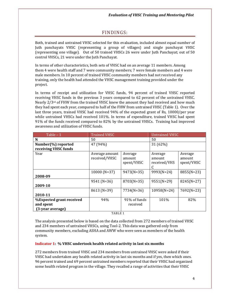# FINDINGS:

Both, trained and untrained VHSC selected for this evaluation, included almost equal number of Juth panchayats VHSC (representing a group of villages) and single panchayat VHSC (representing one village). Out of 50 trained VHSCs 26 were under Juth Panchayat; out of 50 control VHSCs, 21 were under the Juth Panchayat.

In terms of other characteristics, both sets of VHSC had on an average 11 members. Among them 4 were health staff and 7 were community members; 7 were female members and 4 were male members. In 10 percent of trained VHSC community members had not received any training, only the health had attended the VHSC management training provided under the project.

In terms of receipt and utilization for VHSC funds, 94 percent of trained VHSC reported receiving VHSC funds in the previous 3 years compared to 62 percent of the untrained VHSC. Nearly  $2/3$ <sup>rd</sup> of FHW from the trained VHSC knew the amount they had received and how much they had spent each year, compared to half of the FHW from untrained VHSC (Table 1). Over the last three years, trained VHSC had received 94% of the expected grant of Rs, 10000/per year while untrained VHSCs had received 101%. In terms of expenditure, trained VHSC had spent 91% of the funds received compared to 82% by the untrained VHSCs. Training had improved awareness and utilization of VHSC funds.

| Table $-1$                                                | <b>Trained VHSC</b>             |                                 | <b>Untrained VHSC</b>             |                                 |
|-----------------------------------------------------------|---------------------------------|---------------------------------|-----------------------------------|---------------------------------|
| N                                                         | 50                              |                                 | 50                                |                                 |
| Number(%) reported                                        | 47 (94%)                        |                                 | 31 (62%)                          |                                 |
| receiving VHSC funds                                      |                                 |                                 |                                   |                                 |
| Year                                                      | Average amount<br>received/VHSC | Average<br>amount<br>spent/VHSC | Average<br>amount<br>received/VHS | Average<br>amount<br>spent/VHSC |
| 2008-09                                                   | $10000(N=37)$                   | $9473(N=35)$                    | 9993(N=24)                        | 8855(N=23)                      |
| 2009-10                                                   | 9541 (N=36)                     | 8703(N=35)                      | $9551(N=29)$                      | $8245(N=27)$                    |
| 2010-11                                                   | 8613 (N=39)                     | $7734(N=36)$                    | $10958(N=24)$                     | 7692(N=23)                      |
| %Expected grant received<br>and spent<br>(3-year average) | 94%                             | 91% of funds<br>received        | 101%                              | 82%                             |

TABLE 1

The analysis presented below is based on the data collected from 272 members of trained VHSC and 234 members of untrained VHSCs, using Tool-2. This data was gathered only from community members, excluding ASHA and AWW who were seen as members of the health system.

#### Indicator 1: % VHSC undertook health related activity in last six months

272 members from trained VHSC and 234 members from untrained VHSC were asked if their VHSC had undertaken any health related activity in last six months and if yes, then which ones. 96 percent trained and 69 percent untrained members reported that their VHSC had organized some health related program in the village. They recalled a range of activities that their VHSC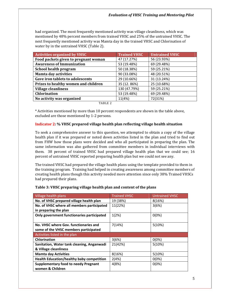had organized. The most frequently mentioned activity was village cleanliness, which was mentioned by 48% percent members from trained VHSC and 25% of the untrained VHSC. The next frequently mentioned activity was Mamta day in the trained VHSC and Chlorination of water by in the untrained VHSC (Table 2).

| <b>Activities organized by VHSC</b>  | <b>Trained VHSC</b> | <b>Untrained VHSC</b> |
|--------------------------------------|---------------------|-----------------------|
| Food packets given to pregnant woman | 47 (17.27%)         | 56 (23.93%)           |
| <b>Awareness of Immunization</b>     | 53 (19.48%)         | 69 (29.48%)           |
| School health program                | 50 (18.38%)         | 59 (25.21%)           |
| <b>Mamta day activities</b>          | 90 (33.08%)         | 48 (20.51%)           |
| Gave iron tablets to adolescents     | 29 (10.66%)         | 31 (13.24%)           |
| Prizes to healthy women and children | 35 (12.86%)         | 25 (10.68%)           |
| <b>Village cleanliness</b>           | 130 (47.79%)        | 59 (25.21%)           |
| <b>Chlorination</b>                  | 53 (19.48%)         | 69 (29.48%)           |
| No activity was organized            | 11(4%)              | 72(31%)               |
|                                      |                     |                       |

TABLE 2

\* Activities mentioned by more than 10 percent respondents are shown in the table above, excluded are those mentioned by 1-2 persons.

# Indicator 2: % VHSC prepared village health plan reflecting village health situation

To seek a comprehensive answer to this question, we attempted to obtain a copy of the village health plan if it was prepared or noted down activities listed in the plan and tried to find out from FHW how those plans were decided and who all participated in preparing the plan. The same information was also gathered from committee members in individual interviews with them. 38 percent of trained VHSC had prepared village health plan that we could see; 16 percent of untrained VHSC reported preparing health plan but we could not see any.

The trained VHSC had prepared the village health plans using the template provided to them in the training program. Training had helped in creating awareness among committee members of creating health plans though this activity needed more attention since only 38% Trained VHSCs had prepared their plans.

## Table 3: VHSC preparing village health plan and content of the plans

| Village health plans                             | <b>Trained VHSC</b> | <b>Untrained VHSC</b> |  |  |
|--------------------------------------------------|---------------------|-----------------------|--|--|
| No. of VHSC prepared village health plan         | 19 (38%)            | 8(16%)                |  |  |
| No. of VHSC where all members participated       | 11(22%)             | 3(6%)                 |  |  |
| in preparing the plan                            |                     |                       |  |  |
| Only government functionaries participated       | 1(2%)               | $0(0\%)$              |  |  |
|                                                  |                     |                       |  |  |
| No. VHSC where Gov. functionaries and            | 7(14%)              | 5(10%)                |  |  |
| some of the VHSC members participated            |                     |                       |  |  |
| Activities listed in the plan                    |                     |                       |  |  |
| <b>Chlorination</b>                              | 3(6%)               | $0(0\%)$              |  |  |
| Sanitation, Water tank cleaning, Anganwadi       | 21(42%)             | 5(10%)                |  |  |
| & Village cleanliness                            |                     |                       |  |  |
| <b>Mamta day Activities</b>                      | 8(16%)              | 5(10%)                |  |  |
| <b>Health Education/healthy baby competition</b> | 2(4%)               | $0(0\%)$              |  |  |
| <b>Supplementary food to needy Pregnant</b>      | 4(8%)               | $0(0\%)$              |  |  |
| women & Children                                 |                     |                       |  |  |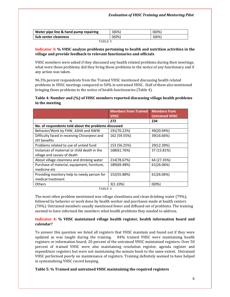| Water pipe line & hand pump repairing | 3(6%)    | $0(0\%)$ |  |  |
|---------------------------------------|----------|----------|--|--|
| <b>Sub center cleanness</b>           | $0(0\%)$ | 3(6%)    |  |  |
| _ _ _ _ _ _                           |          |          |  |  |

#### TABLE 3

#### Indicator 3: % VHSC analyze problems pertaining to health and nutrition activities in the village and provide feedback to relevant functionaries and officials

VHSC members were asked if they discussed any health related problems during their meetings, what were those problems; did they bring those problems to the notice of any functionary and if any action was taken.

96.3% percent respondents from the Trained VHSC mentioned discussing health related problems in VHSC meetings compared to 50% in untrained VHSC. Half of them also mentioned bringing those problems to the notice of health functionaries (Table 4).

# Table 4: Number and (%) of VHSC members reported discussing village health problems in the meeting

|                                                      | <b>Members from Trained</b> | <b>Members from</b>   |
|------------------------------------------------------|-----------------------------|-----------------------|
|                                                      | <b>VHSC</b>                 | <b>Untrained VHSC</b> |
| N                                                    | 272                         | 234                   |
| No. of respondents told about the problems discussed |                             |                       |
| Behavior/Work by FHW, ASHA and AWW                   | 191(70.22%)                 | 49(20.94%)            |
| Difficulty faced in receiving Chiranjeevi and        | 162 (59.55%)                | 39(16.66%)            |
| JSY benefits                                         |                             |                       |
| Problems related to use of untied fund               | 153 (56.25%)                | 29(12.39%)            |
| Instances of maternal or child death in the          | 168(61.76%)                 | 37 (15.81%)           |
| village and causes of death                          |                             |                       |
| About village cleanness and drinking water           | 214(78.67%)                 | 64 (27.35%)           |
| Purchase of material, equipment, furniture,          | 189(69.48%)                 | 61(26.06%)            |
| medicine etc                                         |                             |                       |
| Providing monitory help to needy person for          | 152(55.88%)                 | 61(26.06%)            |
| medical treatment                                    |                             |                       |
| <b>Others</b>                                        | 3(1.10%)                    | $0(0\%)$              |

TABLE 4

The most often problem mentioned was village cleanliness and clean drinking water (79%), followed by behavior or work done by health worker and purchases made at health centers (70%). Untrained members usually mentioned fewer and diffused set of problems. The training seemed to have informed the members what health problems they needed to address.

## Indicator 4: % VHSC maintained village health register, health information board and calendar?

To answer this question we listed all registers that VHSC maintain and found out if they were updated as was taught during the training. 84% trained VHSC were maintaining health registers or information board; 20 percent of the untrained VHSC maintained registers. Over 50 percent of trained VHSC were also maintaining resolution register, agenda register and expenditure registers but were not maintaining the minute book to the same extent. Untrained VHSC performed poorly on maintenance of registers. Training definitely seemed to have helped in systematizing VHSC record keeping.

## Table 5: % Trained and untrained VHSC maintaining the required registers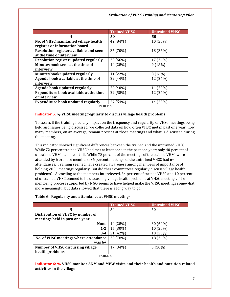|                                               | <b>Trained VHSC</b> | <b>Untrained VHSC</b> |
|-----------------------------------------------|---------------------|-----------------------|
| N                                             | 50                  | 50                    |
| No. of VHSC maintained village health         | 42 (84%)            | 10 (20%)              |
| register or information board                 |                     |                       |
| Resolution register available and seen        | 35 (70%)            | 18 (36%)              |
| at the time of interview                      |                     |                       |
| Resolution register updated regularly         | 33 (66%)            | 17 (34%)              |
| Minutes book seen at the time of              | 14 (28%)            | 9(18%)                |
| interview                                     |                     |                       |
| Minutes book updated regularly                | 11 (22%)            | 8(16%)                |
| Agenda book available at the time of          | 22 (44%)            | 12 (24%)              |
| interview                                     |                     |                       |
| Agenda book updated regularly                 | 20 (40%)            | 11 (22%)              |
| <b>Expenditure book available at the time</b> | 29 (58%)            | 12 (24%)              |
| of interview                                  |                     |                       |
| <b>Expenditure book updated regularly</b>     | 27 (54%)            | 14 (28%)              |

TABLE 5

### Indicator 5: % VHSC meeting regularly to discuss village health problems

To assess if the training had any impact on the frequency and regularity of VHSC meetings being held and issues being discussed, we collected data on how often VHSC met in past one year; how many members, on an average, remain present at those meetings and what is discussed during the meeting.

This indicator showed significant differences between the trained and the untrained VHSC. While 72 percent trained VHSC had met at least once in the past one year; only 40 percent of untrained VHSC had met at all. While 78 percent of the meetings of the trained VHSC were attended by 6 or more members; 36 percent meetings of the untrained VHSC had 6+ attendances. Training seemed have created awareness among members of importance of holding VHSC meetings regularly. But did these committees regularly discuss village health problems? According to the members interviewed, 34 percent of trained VHSC and 10 percent of untrained VHSC seemed to be discussing village health problems at VHSC meetings. The mentoring process supported by NGO seems to have helped make the VHSC meetings somewhat more meaningful but data showed that there is a long way to go.

|                                       | <b>Trained VHSC</b> | <b>Untrained VHSC</b> |
|---------------------------------------|---------------------|-----------------------|
| N                                     | 50                  | 50                    |
| Distribution of VHSC by number of     |                     |                       |
| meetings held in past one year        |                     |                       |
| <b>None</b>                           | 14 (28%)            | 30 (60%)              |
| $1 - 2$                               | 15 (30%)            | 10 (20%)              |
| $3 - 4$                               | 21 (42%)            | 10 (20%)              |
| No. of VHSC meetings where attendance | 39 (78%)            | 18 (36%)              |
| was $6+$                              |                     |                       |
| Number of VHSC discussing village     | 17 (34%)            | $5(10\%)$             |
| health problems                       |                     |                       |

#### Table 6: Regularity and attendance at VHSC meetings

TABLE 6

Indicator 6: % VHSC monitor ANM and MPW visits and their health and nutrition related activities in the village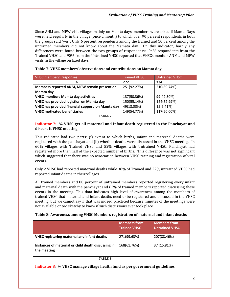Since ANM and MPW visit villages mainly on Mamta days, members were asked if Mamta Days were held regularly in the village (once a month) to which over 90 percent respondents in both the groups said "yes". Only 6 percent respondents among the trained and 10 percent among the untrained members did not know about the Mamata day. On this indicator, hardly any differences were found between the two groups of respondents: 94% respondents from the Trained VHSC and 90% from the Untrained VHSC reported that VHSCs monitor ANM and MPW visits in the village on fixed days.

| VHSC members' responses                          | <b>Trained VHSC</b> | <b>Untrained VHSC</b> |  |
|--------------------------------------------------|---------------------|-----------------------|--|
| N                                                | 272                 | 234                   |  |
| Members reported ANM, MPW remain present on      | 251(92.27%)         | 210(89.74%)           |  |
| Mamta day                                        |                     |                       |  |
| <b>VHSC monitors Mamta day activities</b>        | 137(50.36%)         | 99(42.30%)            |  |
| VHSC has provided logistics on Mamta day         | 150(55.14%)         | 124(52.99%)           |  |
| VHSC has provided financial support on Mamta day | 49(18.00%)          | 15(6.41%)             |  |
| <b>VHSC motivated beneficiaries</b>              | 149(54.77%)         | 117(50.00%)           |  |
| TABLE 7                                          |                     |                       |  |

## Table 7: VHSC members' observations and contributions on Mamta day

#### Indicator 7: % VHSC get all maternal and infant death registered in the Panchayat and discuss it VHSC meeting

This indicator had two parts: (i) extent to which births, infant and maternal deaths were registered with the panchayat and (ii) whether deaths were discussed in the VHSC meeting. In 60% villages with Trained VHSC and 52% villages with Untrained VHSC, Panchayat had registered more than half of the expected number of births. This difference was not significant which suggested that there was no association between VHSC training and registration of vital events.

Only 2 VHSC had reported maternal deaths while 38% of Trained and 22% untrained VHSC had reported infant deaths in their villages.

All trained members and 88 percent of untrained members reported registering every infant and maternal death with the panchayat and 62% of trained members reported discussing these events in the meeting. This data indicates high level of awareness among the members of trained VHSC that maternal and infant deaths need to be registered and discussed in the VHSC meeting, but we cannot say if that was indeed practiced because minutes of the meetings were not available or too sketchy to know if such discussions ever took place.

#### Table 8: Awareness among VHSC Members registration of maternal and infant deaths

|                                                                   | <b>Members from</b><br><b>Trained VHSC</b> | <b>Members from</b><br><b>Untrained VHSC</b> |
|-------------------------------------------------------------------|--------------------------------------------|----------------------------------------------|
| <b>VHSC registering maternal and infant deaths</b>                | 271(99.63%)                                | 207(88.46%)                                  |
| Instances of maternal or child death discussing in<br>the meeting | 168(61.76%)                                | 37 (15.81%)                                  |

TABLE 8

#### Indicator 8: % VHSC manage village health fund as per government guidelines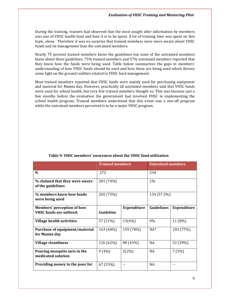During the training, trainers had observed that the most sought after information by members was size of VHSC health fund and how it is to be spent. A lot of training time was spent on this topic, alone. Therefore it was no surprise that trained members were more aware about VHSC funds and its management than the untrained members.

Nearly 75 percent trained members knew the guidelines but none of the untrained members knew about these guidelines. 75% trained members and 57% untrained members reported that they knew how the funds were being used. Table below summarizes the gaps in members' understanding of how VHSC funds should be used and how those are being used which throws some light on the ground realities related to VHSC fund management.

Most trained members reported that VHSC funds were mainly used for purchasing equipment and material for Mamta day. However, practically all untrained members said that VHSC funds were used for school health, but very few trained members thought so. This was because just a few months before the evaluation the government had involved VHSC in implementing the school health program. Trained members understood that this event was a one-off program while the untrained members perceived it to be a major VHSC program.

|                                                     | <b>Trained members</b> |                    | <b>Untrained members</b> |                    |
|-----------------------------------------------------|------------------------|--------------------|--------------------------|--------------------|
| N                                                   | 272                    |                    | 234                      |                    |
| % claimed that they were aware<br>of the guidelines | 201 (74%)              |                    | $1\%$                    |                    |
| % members knew how funds<br>were being used         | 205 (75%)              |                    | 134 (57.3%)              |                    |
| Members' perception of how                          |                        | <b>Expenditure</b> | <b>Guidelines</b>        | <b>Expenditure</b> |
| <b>VHSC funds are utilized:</b>                     | Guideline              |                    |                          |                    |
| Village health activities                           | 57 (21%)               | 13(6%)             | $0\%$                    | 11 (8%)            |
| Purchase of equipment/material<br>for Mamta day     | 163 (60%)              | 159 (78%)          | $NA^*$                   | 103 (77%)          |
| <b>Village cleanliness</b>                          | 126 (62%)              | 88 (43%)           | <b>NA</b>                | 52 (39%)           |
| Pouring mosquito nets in the<br>medicated solution  | 9(4%)                  | 5(2%)              | NA                       | 7(5%)              |
| Providing money to the poor for                     | 67 (33%)               |                    | <b>NA</b>                | $- -$              |

## Table 9: VHSC members' awareness about the VHSC fund utilization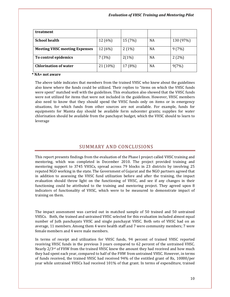| treatment                            |          |         |           |           |
|--------------------------------------|----------|---------|-----------|-----------|
| <b>School health</b>                 | 12 (6%)  | 15 (7%) | <b>NA</b> | 130 (97%) |
| <b>Meeting VHSC meeting Expenses</b> | 12 (6%)  | 2(1%)   | <b>NA</b> | 9(7%)     |
| To control epidemics                 | 7(3%)    | 2(1%)   | NA        | 2(2%)     |
| <b>Chlorination of water</b>         | 21 (10%) | 17 (8%) | <b>NA</b> | 9(7%)     |

#### \* NA= not aware

The above table indicates that members from the trained VHSC who knew about the guidelines also knew where the funds could be utilized. Their replies to "items on which the VHSC funds were spent" matched well with the guidelines. This evaluation also showed that the VHSC funds were not utilized for items that were not included in the guidelines. However, VHSC members also need to know that they should spend the VHSC funds only on items or in emergency situations, for which funds from other sources are not available. For example, funds for equipments for Mamta day should be available form subcenter grants; supplies for water chlorination should be available from the panchayat budget, which the VHSC should to learn to leverage

# SUMMARY AND CONCLUSIONS

This report presents findings from the evaluation of the Phase I project called VHSC training and mentoring, which was completed in December 2010. The project provided training and mentoring support to 3745 VHSCs, spread across 79 blocks in 23 districts by involving 25 reputed NGO working in the state. The Government of Gujarat and the NGO partners agreed that in addition to assessing the VHSC fund utilization before and after the training, the impact evaluation should throw light on the functioning of VHSC, and see if any changes in their functioning could be attributed to the training and mentoring project. They agreed upon 8 indicators of functionality of VHSC, which were to be measured to demonstrate impact of training on them.

The impact assessment was carried out in matched sample of 50 trained and 50 untrained VHSCs. Both, the trained and untrained VHSC selected for this evaluation included almost equal number of Juth panchayats VHSC and single panchayat VHSC. Both sets of VHSC had on an average, 11 members. Among them 4 were health staff and 7 were community members; 7 were female members and 4 were male members.

In terms of receipt and utilization for VHSC funds, 94 percent of trained VHSC reported receiving VHSC funds in the previous 3 years compared to 62 percent of the untrained VHSC. Nearly  $2/3$ <sup>rd</sup> of FHW from the trained VHSC knew the amount they had received and how much they had spent each year, compared to half of the FHW from untrained VHSC. However, in terms of funds received, the trained VHSC had received 94% of the entitled grant of Rs, 10000/per year while untrained VHSCs had received 101% of that grant. In terms of expenditure, trained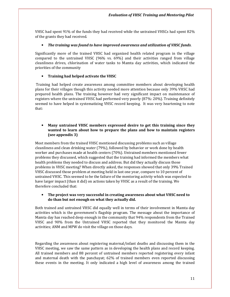VHSC had spent 91% of the funds they had received while the untrained VHSCs had spent 82% of the grants they had received.

#### • The training was found to have improved awareness and utilization of VHSC funds.

Significantly more of the trained VHSC had organized health related program in the village compared to the untrained VHSC (96% vs. 69%) and their activities ranged from village cleanliness drives, chlorination of water tanks to Mamta day activities, which indicated the priorities of the community

## • Training had helped activate the VHSC

 Training had helped create awareness among committee members about developing health plans for their villages though this activity needed more attention because only 39% VHSC had prepared health plans. The training however had very significant impact on maintenance of registers where the untrained VHSC had performed very poorly (87%: 20%). Training definitely seemed to have helped in systematizing VHSC record keeping. It was very heartening to note that:

# • Many untrained VHSC members expressed desire to get this training since they wanted to learn about how to prepare the plans and how to maintain registers (see appendix 3)

Most members from the trained VHSC mentioned discussing problems such as village cleanliness and clean drinking water (79%), followed by behavior or work done by health worker and purchases made at health centers (70%). Untrained members mentioned fewer problems they discussed, which suggested that the training had informed the members what health problems they needed to discuss and address. But did they actually discuss those problems in VHSC meeting? When directly asked, the responses showed that only 39% Trained VHSC discussed those problem at meeting held in last one year, compare to 10 percent of untrained VHSC. This seemed to be the failure of the mentoring activity which was expected to have larger impact (than it did) on actions taken by VHSC as a result of the training. We therefore concluded that:

## • The project was very successful in creating awareness about what VHSC need to do than but not enough on what they actually did.

Both trained and untrained VHSC did equally well in terms of their involvement in Mamta day activities which is the government's flagship program. The message about the importance of Mamta day has reached deep enough in the community that 94% respondents from the Trained VHSC and 90% from the Untrained VHSC reported that they monitored the Mamta day activities; ANM and MPW do visit the village on those days.

Regarding the awareness about registering maternal/infant deaths and discussing them in the VHSC meeting, we saw the same pattern as in developing the health plans and record keeping. All trained members and 88 percent of untrained members reported registering every infant and maternal death with the panchayat; 62% of trained members even reported discussing these events in the meeting. It only indicated a high level of awareness among the trained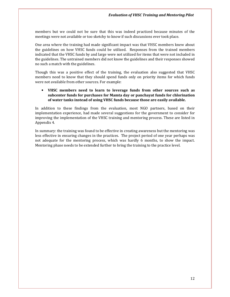members but we could not be sure that this was indeed practiced because minutes of the meetings were not available or too sketchy to know if such discussions ever took place.

One area where the training had made significant impact was that VHSC members knew about the guidelines on how VHSC funds could be utilized. Responses from the trained members indicated that the VHSC funds by and large were not utilized for items that were not included in the guidelines. The untrained members did not know the guidelines and their responses showed no such a match with the guidelines.

Though this was a positive effect of the training, the evaluation also suggested that VHSC members need to know that they should spend funds only on priority items for which funds were not available from other sources. For example:

## • VHSC members need to learn to leverage funds from other sources such as subcenter funds for purchases for Mamta day or panchayat funds for chlorination of water tanks instead of using VHSC funds because those are easily available.

In addition to these findings from the evaluation, most NGO partners, based on their implementation experience, had made several suggestions for the government to consider for improving the implementation of the VHSC training and mentoring process. These are listed in Appendix 4.

In summary: the training was found to be effective in creating awareness but the mentoring was less effective in ensuring changes in the practices. The project period of one year perhaps was not adequate for the mentoring process, which was hardly 6 months, to show the impact. Mentoring phase needs to be extended further to bring the training to the practice level.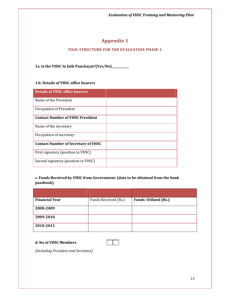Evaluation of VHSC Training and Mentoring Pilot

# Appendix 1

# TOOL STRUCTURE FOR THE EVALUATION PHASE-1

1a. Is the VHSC In Juth Panchayat?(Yes/No)\_\_\_\_\_\_\_\_\_\_

# 1.b. Details of VHSC office bearers

| <b>Details of VHSC office bearers</b>      |  |
|--------------------------------------------|--|
| Name of the President                      |  |
| Occupation of President                    |  |
| <b>Contact Number of VHSC President</b>    |  |
| Name of the secretary                      |  |
| Occupation of secretary                    |  |
| <b>Contact Number of Secretary of VHSC</b> |  |
| First signatory (position in VHSC)         |  |
| Second signatory (position in VHSC)        |  |

# c. Funds Received by VHSC from Government: (data to be obtained from the bank passbook)

| <b>Financial Year</b> | Funds Received (Rs.) | <b>Funds Utilized (Rs.)</b> |
|-----------------------|----------------------|-----------------------------|
| 2008-2009             |                      |                             |
| 2009-2010             |                      |                             |
| 2010-2011             |                      |                             |

## d. No of VHSC Members



(Including President and Secretary)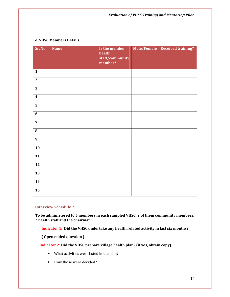#### e. VHSC Members Details:

| Sr. No.                 | <b>Name</b> | Is the member<br>health<br>staff/community<br>member? | Male/Female Received training? |
|-------------------------|-------------|-------------------------------------------------------|--------------------------------|
| $\mathbf{1}$            |             |                                                       |                                |
| $\overline{2}$          |             |                                                       |                                |
| $\overline{3}$          |             |                                                       |                                |
| $\overline{\mathbf{4}}$ |             |                                                       |                                |
| $\overline{\mathbf{5}}$ |             |                                                       |                                |
| $\overline{6}$          |             |                                                       |                                |
| $\overline{7}$          |             |                                                       |                                |
| ${\bf 8}$               |             |                                                       |                                |
| $\boldsymbol{9}$        |             |                                                       |                                |
| ${\bf 10}$              |             |                                                       |                                |
| 11                      |             |                                                       |                                |
| $\overline{12}$         |             |                                                       |                                |
| 13                      |             |                                                       |                                |
| $\overline{14}$         |             |                                                       |                                |
| 15                      |             |                                                       |                                |

# Interview Schedule 2:

To be administered to 5 members in each sampled VHSC: 2 of them community members, 2 health staff and the chairman

Indicator 1: Did the VHSC undertake any health related activity in last six months?

( Open ended question )

Indicator 2: Did the VHSC prepare village health plan? (if yes, obtain copy)

- What activities were listed in the plan?
- How those were decided?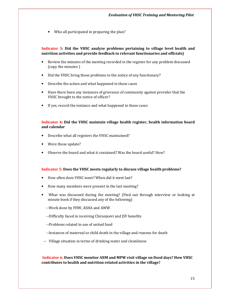• Who all participated in preparing the plan?

## Indicator 3: Did the VHSC analyze problems pertaining to village level health and nutrition activities and provide feedback to relevant functionaries and officials)

- Review the minutes of the meeting recorded in the register for any problem discussed (copy the minutes )
- Did the VHSC bring those problems to the notice of any functionary?
- Describe the action and what happened in those cases
- Have there been any instances of grievance of community against provider that the VHSC brought to the notice of officer?
- If yes, record the instance and what happened in those cases

#### Indicator 4: Did the VHSC maintain village health register, health information board and calendar

- Describe what all registers the VHSC maintained?
- Were those update?
- Observe the board and what it contained? Was the board useful? How?

#### Indicator 5: Does the VHSC meets regularly to discuss village health problems?

- How often does VHSC meet? When did it meet last?
- How many members were present in the last meeting?
- What was discussed during the meeting? (Find out through interview or looking at minute book if they discussed any of the following)
	- --Work done by FHW, ASHA and AWW
	- --Difficulty faced in receiving Chiranjeevi and JSY benefits
	- --Problems related to use of untied fund
	- --Instances of maternal or child death in the village and reasons for death
- -- Village situation in terms of drinking water and cleanliness

Indicator 6: Does VHSC monitor ANM and MPW visit village on fixed days? How VHSC contributes to health and nutrition related activities in the village?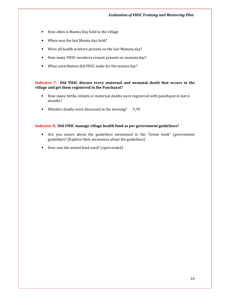- How often is Mamta Day held in the village
- When was the last Mamta day held?
- Were all health workers present on the last Mamata day?
- How many VHSC members remain present on mamata day?
- What contribution did VHSC make for the mamta day?

## Indicator 7: Did VHSC discuss every maternal and neonatal death that occurs in the village and get them registered in the Panchayat?

- How many births, infants or maternal deaths were registered with panchayat in last 6 months?
- Whether deaths were discussed in the meeting? Y/N

## Indicator 8: Did VHSC manage village health fund as per government guidelines?

- Are you aware about the guidelines mentioned in the "Green book" (government guidelines? (Explore their awareness about the guidelines)
- How was the untied fund used? (open ended)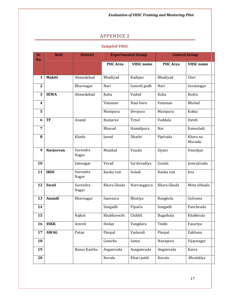Evaluation of VHSC Training and Mentoring Pilot

# APPENDIX 2

# Sampled VHSC

| Sr.<br>No.       | <b>NGO</b>  | <b>District</b>   | <b>Experimental Group</b> |                  | <b>Control Group</b> |                    |
|------------------|-------------|-------------------|---------------------------|------------------|----------------------|--------------------|
|                  |             |                   | <b>PHC</b> Area           | <b>VHSC</b> name | <b>PHC</b> Area      | <b>VHSC</b> name   |
| 1                | Mahiti      | Ahmedabad         | Bhadiyad                  | Kadipur          | Bhadiyad             | Cher               |
| $\overline{2}$   |             | Bhavnagar         | Nari                      | Ganesh gadh      | Nari                 | Savainagar         |
| 3                | <b>SEWA</b> | Ahmedabad         | Kuha                      | Vadod            | Kuha                 | Rodra              |
| $\boldsymbol{4}$ |             |                   | Vataman                   | Nani boru        | Vataman              | Bholad             |
| 5                |             |                   | Manipura                  | Devpura          | Manipura             | Kokta              |
| 6                | <b>TF</b>   | Anand             | Kunjarav                  | Trnol            | Vaddala              | Dateli             |
| 7                |             |                   | Bharod                    | Hamidpura        | Nar                  | Ramodadi           |
| 8                |             | Kheda             | Janod                     | Dhathi           | Piplvada             | Khera na<br>Muvada |
| 9                | Navjeevan   | Surendra<br>Nagar | Mujidad                   | Vanala           | Siyani               | Umedpar            |
| 10               |             | Jamnagar          | Verad                     | Sai devadiya     | Gunda                | Jamrajivada        |
| 11               | <b>IRDI</b> | Surendra<br>Nagar | Kanka vati                | Soladi           | Kanka vati           | Jiva               |
| 12               | Swati       | Surendra<br>Nagar | Khara Ghoda               | Navrangpura      | Khara Ghoda          | Mota ubhada        |
| 13               | Anandi      | Bhavnagar         | Sanosara                  | Bhutiya          | Ranghola             | Golrama            |
| 14               |             |                   | Songadh                   | Piparla          | Songadh              | Panchvada          |
| 15               |             | Rajkot            | Khakharechi               | Chikhli          | Bagathala            | Khakhrala          |
| 16               | <b>SSKK</b> | Amreli            | Dedan                     | Vangdara         | Timbi                | Fasariya           |
| 17               | <b>AWAG</b> | Patan             | Pimpal                    | Vadavali         | Pimpal               | Zakhana            |
| 18               |             |                   | Gotarka                   | Satun            | Nanapura             | Vijaynagar         |
| 19               |             | Banas Kantha      | Anganvada                 | Aanganvada       | Anganvada            | Kasra              |
| 20               |             |                   | Kuvala                    | Khari paldi      | Kuvala               | Bhodaliya          |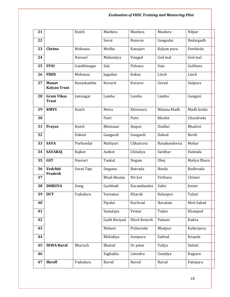# Evaluation of VHSC Training and Mentoring Pilot

| 21 |                                     | Kutch       | Manfara      | Manfara       | Manfara      | Nilpar       |
|----|-------------------------------------|-------------|--------------|---------------|--------------|--------------|
| 22 |                                     |             | Suvai        | Ramvav        | Gangodar     | Badargadh    |
| 23 | Chetna                              | Mehsana     | Medha        | Kanajari      | Kalyan pura  | Panthoda     |
| 24 |                                     | Navsari     | Makumiya     | Vangad        | God mal      | God mal      |
| 25 | <b>FPAI</b>                         | Gandhinagar | Saij         | Palsana       | Soja         | Golthara     |
| 26 | <b>FRHS</b>                         | Mehsana     | Jagudan      | <b>Kukas</b>  | Linch        | Linch        |
| 27 | <b>Manav</b><br><b>Kalyan Trust</b> | Banaskantha | Kuvarsi      | Kuvarsi       | Gorad        | Dalpura      |
| 28 | <b>Gram Vikas</b><br><b>Trust</b>   | Jamnagar    | Lamba        | Lamba         | Lamba        | Gangani      |
| 29 | <b>KMVS</b>                         | Kutch       | Netra        | Khirasara     | Matana Madh  | Madh kotda   |
| 30 |                                     |             | Patri        | Patri         | Khedoi       | Chandroda    |
| 31 | Prayas                              | Kutch       | Bhimasar     | Ajapur        | Dudhai       | Bhadroi      |
| 32 |                                     | Dahod       | Gangardi     | Gangardi      | Dahod        | Bordi        |
| 33 | <b>SAVA</b>                         | Porbandar   | Mahiyari     | Chhatrava     | Ranakandorna | Mokar        |
| 34 | <b>SAVARAJ</b>                      | Rajkot      | Aatkot       | Chitaliya     | Sardhar      | Halenda      |
| 35 | <b>GST</b>                          | Navsari     | Tankal       | Degam         | Dhej         | Maliya Dhara |
| 36 | Vedchhi<br><b>Pradesh</b>           | Surat Tapi  | Degama       | Butvada       | Borda        | Budhvada     |
| 37 |                                     |             | Bhad-bhunja  | Nir kot       | Virthava     | Chimer       |
| 38 | <b>DHRUVA</b>                       | Dang        | Garkhadi     | Karandiamba   | Subir        | Jinner       |
| 39 | <b>DCT</b>                          | Vadodara    | Varnama      | Kharali       | Kelanpur     | Talsat       |
| 40 |                                     |             | Pipalai      | Kochvad       | Navalam      | Moti Sakad   |
| 41 |                                     |             | Samalaya     | Vemar         | Tudav        | Khunpad      |
| 42 |                                     |             | Gadh Boriyad | Dholi Kotardi | Palasni      | Kadva        |
| 43 |                                     |             | Makani       | Pichuvada     | Bhatpur      | Kuberpura    |
| 44 |                                     |             | Bhilodiya    | Sompura       | Sathod       | Knayda       |
| 45 | <b>SEWA Rural</b>                   | Bharuch     | Bhalod       | Or patar      | Valiya       | Daheli       |
| 46 |                                     |             | Zaghadia     | Limodra       | Gundiya      | Rajpara      |
| 47 | <b>Shroff</b>                       | Vadodara    | Rarod        | Rarod         | Rarod        | Fatepura     |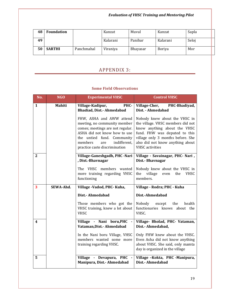| 48 | <b>Foundation</b> |            | Kanzat   | Muval    | Kanzat        | Sapla |
|----|-------------------|------------|----------|----------|---------------|-------|
| 49 |                   |            | Kalarani | Panibar  | Kalarani      | Seloj |
| 50 | <b>SARTHI</b>     | Panchmahal | Viraniya | Bhayasar | <b>Boriya</b> | Mor   |

# APPENDIX 3:

# Some Field Observations

| No.              | <b>NGO</b>    | <b>Experimental VHSC</b>                                                                                                                                                                                                      | <b>Control VHSC</b>                                                                                                                                                                                                                    |
|------------------|---------------|-------------------------------------------------------------------------------------------------------------------------------------------------------------------------------------------------------------------------------|----------------------------------------------------------------------------------------------------------------------------------------------------------------------------------------------------------------------------------------|
| $\mathbf{1}$     | <b>Mahiti</b> | PHC-<br>Village-Kadipur,<br><b>Bhadiad, Dist.- Ahmedabad</b>                                                                                                                                                                  | Village-Cher,<br>PHC-Bhadiyad,<br>Dist. - Ahmedabad                                                                                                                                                                                    |
|                  |               | FHW, ASHA and AWW attend<br>meeting, no community member<br>comes; meetings are not regular.<br>ASHA did not know how to use<br>the untied fund. Community<br>members<br>indifferent.<br>are<br>practice caste discrimination | Nobody knew about the VHSC in<br>the village. VHSC members did not<br>know anything about the VHSC<br>fund. FHW was deputed to this<br>village only 3 months before. She<br>also did not know anything about<br><b>VHSC</b> activities |
| $\mathbf{2}$     |               | Village-Ganeshgadh, PHC -Nari<br>, Dist.-Bhavnagar                                                                                                                                                                            | Village - Savainagar, PHC- Nari,<br>Dist.- Bhavnagar                                                                                                                                                                                   |
|                  |               | The VHSC members wanted<br>more training regarding VHSC<br>functioning                                                                                                                                                        | Nobody knew about the VHSC in<br>village<br><b>VHSC</b><br>the<br>the<br>even<br>members.                                                                                                                                              |
| 3                | SEWA-Ahd.     | Village - Vadod, PHC- Kuha,                                                                                                                                                                                                   | Village - Rodra; PHC - Kuha                                                                                                                                                                                                            |
|                  |               | Dist.- Ahmedabad                                                                                                                                                                                                              | Dist.-Ahmedabad                                                                                                                                                                                                                        |
|                  |               | Those members who got the<br>VHSC training, knew a lot about<br><b>VHSC</b>                                                                                                                                                   | Nobody<br>health<br>except<br>the<br>functionaries knows about the<br>VHSC.                                                                                                                                                            |
| $\boldsymbol{4}$ |               | Village - Nani boru, PHC<br>Vataman, Dist. - Ahmedabad                                                                                                                                                                        | Village- Bholad, PHC- Vataman,<br>Dist.- Ahmedabad,                                                                                                                                                                                    |
|                  |               | In the Nani boru Village, VHSC<br>members wanted some more<br>training regarding VHSC.                                                                                                                                        | Only FHW knew about the VHSC.<br>Even Asha did not know anything<br>about VHSC. She said, only mamta<br>day is organized in the village                                                                                                |
| 5                |               | Village - Devapura, PHC<br>Manipura, Dist.- Ahmedabad                                                                                                                                                                         | Village -Kokta, PHC -Manipura,<br>Dist.- Ahmedabad                                                                                                                                                                                     |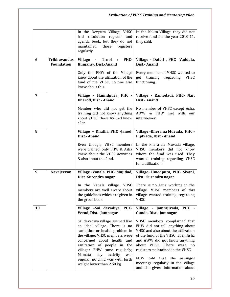|    |                                          | In the Devpura Village, VHSC<br>had resolution register and<br>agenda book, but they do not<br>maintained<br>those<br>registers<br>regularly.                                                                                                                                                                                                   | In the Kokta Village, they did not<br>receive fund for the year 2010-11,<br>they said.                                                                                                                                                                                                                                                                 |
|----|------------------------------------------|-------------------------------------------------------------------------------------------------------------------------------------------------------------------------------------------------------------------------------------------------------------------------------------------------------------------------------------------------|--------------------------------------------------------------------------------------------------------------------------------------------------------------------------------------------------------------------------------------------------------------------------------------------------------------------------------------------------------|
| 6  | <b>Tribhuvandas</b><br><b>Foundation</b> | - Trnol ; PHC-<br><b>Village</b><br>Kunjarav, Dist.-Anand                                                                                                                                                                                                                                                                                       | Village - Dateli, PHC Vaddala,<br>Dist.- Anand                                                                                                                                                                                                                                                                                                         |
|    |                                          | Only the FHW of the Village<br>knew about the utilization of the<br>fund of the VHSC, no one else<br>knew about this.                                                                                                                                                                                                                           | Every member of VHSC wanted to<br>get training regarding<br><b>VHSC</b><br>functioning.                                                                                                                                                                                                                                                                |
| 7  |                                          | Village - Hamidpura, PHC -<br><b>Bharod, Dist.- Anand</b>                                                                                                                                                                                                                                                                                       | Village - Ramodadi, PHC- Nar,<br>Dist.- Anand                                                                                                                                                                                                                                                                                                          |
|    |                                          | Member who did not get the<br>training did not know anything<br>about VHSC, those trained knew<br>a lot.                                                                                                                                                                                                                                        | No member of VHSC except Asha,<br>AWW & FHW met with our<br>interviewer.                                                                                                                                                                                                                                                                               |
| 8  |                                          | Village - Dhathi, PHC -Janod,<br>Dist.- Anand                                                                                                                                                                                                                                                                                                   | Village - Khera na Muvada, PHC -<br>Piplvada, Dist.- Anand                                                                                                                                                                                                                                                                                             |
|    |                                          | Even though, VHSC members<br>were trained, only FHW & Asha<br>knew about the VHSC activities<br>& also about the fund.                                                                                                                                                                                                                          | In the khera na Muvada village,<br>VHSC members did not know<br>where the fund was used. They<br>wanted training regarding VHSC<br>fund utilization.                                                                                                                                                                                                   |
| 9  | Navajeevan                               | Village -Vanala, PHC- Mujidad,<br>Dist.-Surendra nagar                                                                                                                                                                                                                                                                                          | Village- Umedpura, PHC- Siyani,<br>Dist.- Surendra nagar                                                                                                                                                                                                                                                                                               |
|    |                                          | In the Vanala village, VHSC<br>members are well aware about<br>the guidelines which are given in<br>the green book.                                                                                                                                                                                                                             | There is no Asha working in the<br>village. VHSC members of this<br>village wanted training regarding<br><b>VHSC</b>                                                                                                                                                                                                                                   |
| 10 |                                          | Village -Sai devadiya, PHC-<br>Verad, Dist.- Jamnagar                                                                                                                                                                                                                                                                                           | Village - Jamrajivada, PHC -<br>Gunda, Dist.-Jamnagar                                                                                                                                                                                                                                                                                                  |
|    |                                          | Sai devadiya village seemed like<br>an ideal village. There is no<br>sanitation or health problem in<br>the village; VHSC members were<br>concerned about health<br>and<br>sanitation of people in<br>the<br>village/ FHW came regularly;<br>Mamata<br>day<br>activity<br>was<br>regular, no child was with birth<br>weight lower than 2.50 kg. | VHSC members complained that<br>FHW did not tell anything about<br>VHSC and also about the utilization<br>of the fund of the VHSC. Even Asha<br>and AWW did not know anything<br>about VHSC. There were no<br>registers maintained in the VHSC.<br>FHW told that she arranges<br>meetings regularly in the village<br>and also gives information about |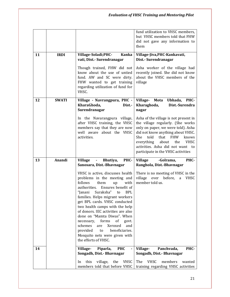|    |              |                                                                                                                                                                                                                                                                                                                                                                                                                                                                                                                                             | fund utilization to VHSC members,<br>but VHSC members told that FHW<br>did not gave any information to<br>them                                                                                                                                                                                                             |
|----|--------------|---------------------------------------------------------------------------------------------------------------------------------------------------------------------------------------------------------------------------------------------------------------------------------------------------------------------------------------------------------------------------------------------------------------------------------------------------------------------------------------------------------------------------------------------|----------------------------------------------------------------------------------------------------------------------------------------------------------------------------------------------------------------------------------------------------------------------------------------------------------------------------|
| 11 | <b>IRDI</b>  | Village-Soladi; PHC-<br><b>Kanka</b><br>vati, Dist.- Surendranagar                                                                                                                                                                                                                                                                                                                                                                                                                                                                          | Village-Jiva, PHC-Kankavati,<br>Dist.- Surendranagar                                                                                                                                                                                                                                                                       |
|    |              | Though trained, FHW did not<br>know about the use of untied<br>fund. AW and SC were dirty.<br>FHW wanted to get training<br>regarding utilization of fund for<br>VHSC.                                                                                                                                                                                                                                                                                                                                                                      | Asha worker of the village had<br>recently joined. She did not know<br>about the VHSC members of the<br>village                                                                                                                                                                                                            |
| 12 | <b>SWATI</b> | Village - Navrangpura, PHC -<br>KharaGhoda,<br>Dist.<br>Surendranagar                                                                                                                                                                                                                                                                                                                                                                                                                                                                       | Village- Mota<br>Ubhada, PHC-<br>Kharaghoda,<br>Dist.-Surendra<br>nagar                                                                                                                                                                                                                                                    |
|    |              | In the Navarangpura village,<br>after VHSC training, the VHSC<br>members say that they are now<br>well aware about the VHSC<br>activities.                                                                                                                                                                                                                                                                                                                                                                                                  | Asha of the village is not present in<br>the village regularly. (She works<br>only on paper, we were told). Asha<br>did not know anything about VHSC.<br>told<br>that<br><b>FHW</b><br>She<br>knows<br>everything<br>about<br>the<br><b>VHSC</b><br>activities. Asha did not want to<br>participate in the VHSC activities |
| 13 | Anandi       | <b>Village</b><br>Bhutiya,<br>PHC-<br>$\blacksquare$<br>Sanosara, Dist.-Bhavnagar                                                                                                                                                                                                                                                                                                                                                                                                                                                           | <b>Village</b><br>-Golrama,<br>PHC-<br>Ranghola, Dist.-Bhavnagar                                                                                                                                                                                                                                                           |
|    |              | VHSC is active, discusses health<br>problems in the meeting and<br>follows<br>them<br>with<br><b>up</b><br>Ensures benefit of<br>authorities.<br>"Janani<br>Suraksha"<br><b>BPL</b><br>to<br>families. Helps migrant workers<br>get BPL cards. VHSC conducted<br>two health camps with the help<br>of donors. IEC activities are also<br>done on "Mamta Diwas". When<br>forms<br>necessary,<br>of<br>govt.<br>schemes<br>Xeroxed<br>and<br>are<br>provided<br>beneficiaries.<br>to<br>Mosquito nets were given with<br>the efforts of VHSC. | There is no meeting of VHSC in the<br>village<br>ever<br>before,<br>a<br><b>VHSC</b><br>member told us.                                                                                                                                                                                                                    |
| 14 |              | <b>PHC</b><br>Village-<br>Piparla,                                                                                                                                                                                                                                                                                                                                                                                                                                                                                                          | Panchvada,<br>PHC-<br>Village-                                                                                                                                                                                                                                                                                             |
|    |              | Songadh, Dist.- Bhavnagar                                                                                                                                                                                                                                                                                                                                                                                                                                                                                                                   | Songadh, Dist.- Bhavnagar                                                                                                                                                                                                                                                                                                  |
|    |              | this<br>village,<br>the<br>VHSC<br>In<br>members told that before VHSC                                                                                                                                                                                                                                                                                                                                                                                                                                                                      | The<br><b>VHSC</b><br>members<br>wanted<br>training regarding VHSC activities                                                                                                                                                                                                                                              |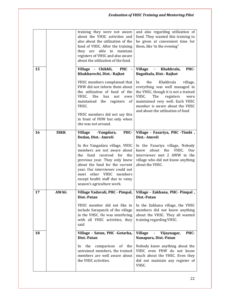|    |             | training they were not aware<br>about the VHSC activities and<br>also about the utilization of the<br>fund of VHSC. After the training<br>they are able to maintain<br>registers of VHSC and also aware<br>about the utilization of the fund.                                                    | and also regarding utilization of<br>fund. They wanted this training to<br>be given at convenient time for<br>them, like 'in the evening"                                                                                                                   |
|----|-------------|--------------------------------------------------------------------------------------------------------------------------------------------------------------------------------------------------------------------------------------------------------------------------------------------------|-------------------------------------------------------------------------------------------------------------------------------------------------------------------------------------------------------------------------------------------------------------|
| 15 |             | Village - Chikhli,<br><b>PHC</b><br>Khakharechi, Dist.- Rajkot                                                                                                                                                                                                                                   | - Khakhrala,<br>PHC-<br><b>Village</b><br>Bagathala, Dist. - Rajkot                                                                                                                                                                                         |
|    |             | VHSC members complained that<br>FHW did not inform them about<br>the utilization of fund of the<br>She<br>VHSC.<br>has<br>not<br>even<br>maintained the registers<br>of<br>VHSC.<br>VHSC members did not say this<br>in front of FHW but only when<br>she was not around.                        | Khakhrala<br>the<br>village,<br>In<br>everything was well managed in<br>the VHSC, though it is not a trained<br>VHSC.<br>The<br>registers<br>were<br>maintained very well. Each VHSC<br>member is aware about the VHSC<br>and about the utilization of fund |
| 16 | <b>SSKK</b> | <b>Village</b><br>PHC-<br>-Vangdara,<br>Dedan, Dist.- Amreli                                                                                                                                                                                                                                     | Village - Fasariya, PHC -Timbi,<br>Dist.- Amreli                                                                                                                                                                                                            |
|    |             | In the Vangadara village, VHSC<br>members are not aware about<br>the<br>fund received for the<br>previous year. They only knew<br>about the fund for the current<br>year. Our interviewer could not<br>meet other VHSC members<br>except health staff due to rainy<br>season's agriculture work. | In the Fasariya village, Nobody<br>about the<br>VHSC.<br>Our<br>knew<br>interviewer met 2 AWW in the<br>village who did not know anything<br>about the VHSC.                                                                                                |
| 17 | <b>AWAG</b> | Village Vadavali, PHC - Pimpal,<br>Dist.-Patan                                                                                                                                                                                                                                                   | Village - Zakhana, PHC- Pimpal,<br>Dist.-Patan                                                                                                                                                                                                              |
|    |             | VHSC member did not like to<br>include Sarapanch of the village<br>in the VHSC. He was interfering<br>with all VHSC activities, they<br>said                                                                                                                                                     | In the Zakhana village, the VHSC<br>members did not know anything<br>about the VHSC. They all wanted<br>training regarding VHSC.                                                                                                                            |
| 18 |             | Village - Satun, PHC -Gotarka,<br>Dist.-Patan                                                                                                                                                                                                                                                    | <b>Village</b><br>Vijaynagar,<br>PHC-<br>Nanapura, Dist.-Patan                                                                                                                                                                                              |
|    |             | the<br>comparison<br>of<br>the<br>In<br>untrained members, the trained<br>members are well aware about<br>the VHSC activities.                                                                                                                                                                   | Nobody knew anything about the<br>VHSC even FHW do not know<br>much about the VHSC. Even they<br>did not maintain any register of<br>VHSC.                                                                                                                  |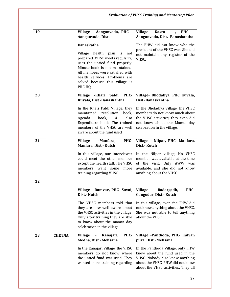| 19 |               | Village - Aanganvada, PHC -<br>Aanganvada, Dist.-                                                                                                                                                                                                                       | Village - Kasra<br><b>PHC</b><br>$\mathbf{r}$<br>Aanganvada, Dist.- Banaskantha                                                                                                    |
|----|---------------|-------------------------------------------------------------------------------------------------------------------------------------------------------------------------------------------------------------------------------------------------------------------------|------------------------------------------------------------------------------------------------------------------------------------------------------------------------------------|
|    |               | <b>Banaskatha</b><br>Village health plan is not<br>prepared. VHSC meets regularly;<br>uses the untied fund properly.<br>Minute book is not maintained.<br>All members were satisfied with<br>health services. Problems are<br>solved because this village is<br>PHC HQ. | The FHW did not know who the<br>president of the VHSC was. She did<br>not maintain any register of the<br>VHSC.                                                                    |
| 20 |               | Village - Khari paldi, PHC-<br>Kuvala, Dist.-Banaskantha                                                                                                                                                                                                                | Village- Bhodaliya, PHC Kuvala,<br>Dist.-Banaskantha                                                                                                                               |
|    |               | In the Khari Paldi Village, they<br>resolution<br>maintained<br>book,<br>book,<br>&<br>also<br>Agenda<br>Expenditure book. The trained<br>members of the VHSC are well<br>aware about the fund used.                                                                    | In the Bholadiya Village, the VHSC<br>members do not know much about<br>the VHSC activities, they even did<br>not know about the Mamta day<br>celebration in the village.          |
| 21 |               | <b>Village</b><br>-Manfara,<br>PHC-<br>Manfara, Dist.- Kutch                                                                                                                                                                                                            | Village - Nilpar, PHC- Manfara,<br>Dist.- Kutch                                                                                                                                    |
|    |               | In this village, our interviewer<br>could meet the other member<br>except the health staff. The VHSC<br>members want<br>some<br>more<br>training regarding VHSC.                                                                                                        | In the Nilpar village, No VHSC<br>member was available at the time<br>of the visit. Only AWW was<br>available, and she did not know<br>anything about the VHSC.                    |
| 22 |               | Village - Ramvav, PHC- Suvai,                                                                                                                                                                                                                                           | <b>Village</b><br>-Badargadh,<br>PHC-                                                                                                                                              |
|    |               | Dist.- Kutch                                                                                                                                                                                                                                                            | Gangodar, Dist.- Kutch                                                                                                                                                             |
|    |               | The VHSC members told that<br>they are now well aware about<br>the VHSC activities in the village.<br>Only after training they are able<br>to know about the mamta day<br>celebration in the village.                                                                   | In this village, even the FHW did<br>not know anything about the VHSC.<br>She was not able to tell anything<br>about the VHSC.                                                     |
| 23 | <b>CHETNA</b> | PHC-<br><b>Village</b><br>Kanajari,<br>$\sim 10$<br>Medha, Dist.- Mehsana                                                                                                                                                                                               | Village -Panthoda, PHC- Kalyan<br>pura, Dist. - Mehsana                                                                                                                            |
|    |               | In the Kanajari Village, the VHSC<br>members do not know where<br>the untied fund was used. They<br>wanted more training regarding                                                                                                                                      | In the Panthoda Village, only FHW<br>knew about the fund used in the<br>VHSC. Nobody else knew anything<br>about the VHSC. FHW did not know<br>about the VHSC activities. They all |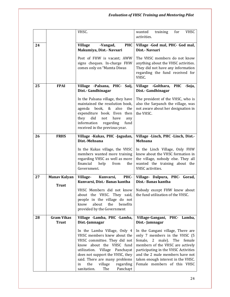|    |                                     | VHSC.                                                                                                                                                                                                                                                                                                | wanted<br>training<br>for<br>VHSC<br>activities.                                                                                                                                                                                                                                      |
|----|-------------------------------------|------------------------------------------------------------------------------------------------------------------------------------------------------------------------------------------------------------------------------------------------------------------------------------------------------|---------------------------------------------------------------------------------------------------------------------------------------------------------------------------------------------------------------------------------------------------------------------------------------|
| 24 |                                     | <b>Village</b><br>-Vangad,<br><b>PHC</b><br>Makumiya, Dist.- Navsari                                                                                                                                                                                                                                 | Village -God mal, PHC- God mal,<br>Dist.- Navsari                                                                                                                                                                                                                                     |
|    |                                     | Post of FHW is vacant; AWW<br>signs cheques. In-charge FHW<br>comes only on "Mamta Diwas                                                                                                                                                                                                             | The VHSC members do not know<br>anything about the VHSC activities.<br>They did not have any information<br>regarding the fund received for<br>VHSC.                                                                                                                                  |
| 25 | <b>FPAI</b>                         | Village -Palsana, PHC- Saij,<br>Dist.- Gandhinagar                                                                                                                                                                                                                                                   | Village - Golthara, PHC<br>-Soja,<br>Dist.- Gandhinagar                                                                                                                                                                                                                               |
|    |                                     | In the Palsana village, they have<br>maintained the resolution book,<br>agenda book,<br>also<br>&<br>the<br>expenditure book. Even then<br>they<br>did<br>not<br>have<br>any<br>information regarding<br>fund<br>received in the previous year.                                                      | The president of the VHSC, who is<br>also the Sarpanch the village, was<br>not aware about her designation in<br>the VHSC.                                                                                                                                                            |
| 26 | <b>FRHS</b>                         | Village -Kukas, PHC -Jagudan,<br>Dist.-Mehsana                                                                                                                                                                                                                                                       | Village -Linch, PHC -Linch, Dist.-<br>Mehsana                                                                                                                                                                                                                                         |
|    |                                     | In the Kukas village, the VHSC<br>members wanted more training<br>regarding VHSC as well as more<br>financial<br>help<br>from<br>the<br>Government.                                                                                                                                                  | In the Linch Village, Only FHW<br>knew about the VHSC formation in<br>the village, nobody else. They all<br>wanted the training about the<br>VHSC activities.                                                                                                                         |
| 27 | <b>Manav Kalyan</b><br><b>Trust</b> | Kunvarsi,<br>Village-<br>PHC-<br>Kunvarsi, Dist.- Banas kantha                                                                                                                                                                                                                                       | Village- Dalpura, PHC- Gorad,<br>Dist.- Banas kantha                                                                                                                                                                                                                                  |
|    |                                     | VHSC Members did not know<br>about the VHSC. They said,<br>people in the village do not<br>know<br>about<br>the<br>benefits<br>provided by the Government                                                                                                                                            | Nobody except FHW knew about<br>the fund utilization of the VHSC.                                                                                                                                                                                                                     |
| 28 | <b>Gram Vikas</b><br><b>Trust</b>   | Village -Lamba, PHC -Lamba,<br>Dist.-Jamnagar                                                                                                                                                                                                                                                        | Village-Gangani, PHC- Lamba,<br>Dist.-Jamnagar                                                                                                                                                                                                                                        |
|    |                                     | In the Lamba Village, Only 4<br>VHSC members knew about the<br>VHSC committee. They did not<br>know about the VHSC fund<br>utilization. Village Panchayat<br>does not support the VHSC, they<br>said. There are many problems<br>village<br>the<br>regarding<br>in<br>sanitation.<br>The<br>Panchayt | In the Gangani village, There are<br>only 7 members in the VHSC (5<br>female, 2 male). The female<br>members of the VHSC are actively<br>participating in the VHSC Activities<br>and the 2 male members have not<br>taken enough interest in the VHSC.<br>Female members of this VHSC |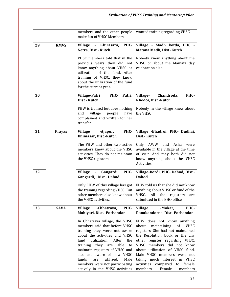|    |               | members and the other people<br>make fun of VHSC Members                                                                                                                                                                                                                                                                                                                                 | wanted training regarding VHSC.                                                                                                                                                                                                                                                                                                                                                    |
|----|---------------|------------------------------------------------------------------------------------------------------------------------------------------------------------------------------------------------------------------------------------------------------------------------------------------------------------------------------------------------------------------------------------------|------------------------------------------------------------------------------------------------------------------------------------------------------------------------------------------------------------------------------------------------------------------------------------------------------------------------------------------------------------------------------------|
| 29 | <b>KMVS</b>   | Village - Khirasara,<br>PHC-<br>Netra, Dist.- Kutch                                                                                                                                                                                                                                                                                                                                      | Village - Madh kotda, PHC -<br>Matana Madh, Dist.-Kutch                                                                                                                                                                                                                                                                                                                            |
|    |               | VHSC members told that in the<br>previous years they did not<br>know anything about VHSC or<br>utilization of the fund. After<br>training of VHSC, they know<br>about the utilization of the fund<br>for the current year.                                                                                                                                                               | Nobody knew anything about the<br>VHSC or about the Mamata day<br>celebration also.                                                                                                                                                                                                                                                                                                |
| 30 |               | Patri,<br>Village-Patri, PHC-<br>Dist.- Kutch                                                                                                                                                                                                                                                                                                                                            | Village-<br>Chandroda,<br>PHC-<br>Khedoi, Dist.-Kutch                                                                                                                                                                                                                                                                                                                              |
|    |               | FHW is trained but does nothing<br>village<br>people<br>have<br>and<br>complained and written for her<br>transfer                                                                                                                                                                                                                                                                        | Nobody in the village knew about<br>the VHSC.                                                                                                                                                                                                                                                                                                                                      |
| 31 | <b>Prayas</b> | PHC-<br><b>Village</b><br>-Ajapur,<br>Bhimasar, Dist.-Kutch                                                                                                                                                                                                                                                                                                                              | Village -Bhadroi, PHC- Dudhai,<br>Dist.- Kutch                                                                                                                                                                                                                                                                                                                                     |
|    |               | The FHW and other two active<br>members knew about the VHSC<br>activities. They do not maintain<br>the VHSC registers.                                                                                                                                                                                                                                                                   | Only AWW<br>and<br>Asha<br>were<br>available in the village at the time<br>of visit. And they both did not<br>know anything about the VHSC<br>Activities.                                                                                                                                                                                                                          |
| 32 |               | PHC-<br>Village - Gangardi,<br>Gangardi, , Dist. - Dahod                                                                                                                                                                                                                                                                                                                                 | Village-Bordi, PHC- Dahod, Dist.-<br><b>Dahod</b>                                                                                                                                                                                                                                                                                                                                  |
|    |               | Only FHW of this village has got<br>the training regarding VHSC. But<br>other members also knew about<br>the VHSC activities.                                                                                                                                                                                                                                                            | FHW told us that she did not know<br>anything about VHSC or fund of the<br>VHSC.<br>All<br>the<br>registers<br>are<br>submitted in the BHO office                                                                                                                                                                                                                                  |
| 33 | <b>SAVA</b>   | <b>Village</b><br>-Chhatrava,<br>PHC-<br>Mahiyari, Dist.- Porbandar                                                                                                                                                                                                                                                                                                                      | <b>Village</b><br>-Mokar,<br>PHC-<br>Ranakandorna, Dist.-Porbandar                                                                                                                                                                                                                                                                                                                 |
|    |               | In Chhatrava village, the VHSC<br>members said that before VHSC<br>training they were not aware<br>about the activities and VHSC<br>utilization.<br>After<br>fund<br>the<br>able<br>they are<br>training<br>to<br>maintain registers of VHSC and<br>also are aware of how VHSC<br>utilized.<br>funds<br>Male<br>are<br>members were not participating<br>actively in the VHSC activities | FHW does not know anything<br>about<br>maintaining<br>of<br>VHSC<br>registers. She had not maintained<br>the Resolution book or the any<br>other register regarding VHSC.<br>VHSC<br>members did not know<br>about utilization of VHSC fund.<br>Male VHSC members were not<br>taking much interest in VHSC<br>activities<br>compared to<br>female<br>Female<br>members.<br>members |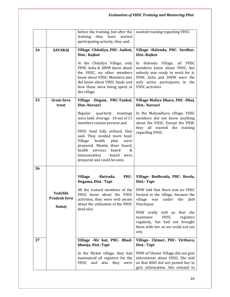|          |                                         | before the training, but after the<br>training they have<br>started<br>participating actively, they said                                                                                                                                                                                                                                                                               | wanted training regarding VHSC                                                                                                                                                                                                                                                                                                       |
|----------|-----------------------------------------|----------------------------------------------------------------------------------------------------------------------------------------------------------------------------------------------------------------------------------------------------------------------------------------------------------------------------------------------------------------------------------------|--------------------------------------------------------------------------------------------------------------------------------------------------------------------------------------------------------------------------------------------------------------------------------------------------------------------------------------|
| 34       | <b>SAVARAJ</b>                          | Village - Chitaliya, PHC- Aatkot,<br>Dist.- Rajkot<br>In the Chitaliya Village, only<br>FHW, Asha & AWW knew about<br>the VHSC, no other members<br>knew about VHSC. Members also<br>did know about VHSC funds and<br>how those were being spent in<br>the village                                                                                                                     | Village -Halenda, PHC- Sardhar,<br>Dist.-Rajkot<br>In Halenda Village,<br>all VHSC<br>members knew about VHSC, but<br>nobody was ready to work for it.<br>FHW, Asha and AWW were the<br>only active participants in the<br><b>VHSC</b> activities                                                                                    |
| 35<br>36 | <b>Gram Seva</b><br>trust               | Village -Degam, PHC-Tankal,<br>Dist.-Navsari<br>Regular quarterly<br>meetings<br>were held. Average 10 out of 11<br>members remain present and<br>VHSC fund fully utilized, they<br>said. They needed more fund.<br>health<br>Village<br>plan<br>were<br>prepared. Mamta divas board,<br>health<br>services<br>board<br>&<br>Immunization<br>board were<br>prepared and could be seen. | Village-Maliya Dhara, PHC -Dhej,<br>Dist.- Navsari<br>In the Maliyadhara village, VHSC<br>members did not know anything<br>about the VHSC. Except the FHW,<br>they all wanted the training<br>regarding VHSC.                                                                                                                        |
|          | Vedchhi<br><b>Pradesh Seva</b><br>Samaj | <b>Village</b><br>-Butvada,<br>PHC-<br>Degama, Dist.- Tapi<br>All the trained members of the<br>VHSC knew about the VHSC<br>activities, they were well aware<br>about the utilization of the VHSC<br>fund also.                                                                                                                                                                        | Village- Budhvada, PHC- Borda,<br>Dist. Tapi<br>FHW told that there was no VHSC<br>formed in the village, because the<br>village<br>was<br>under<br>the<br>Juth<br>Panchayat.<br>FHW orally told us that she<br><b>VHSC</b><br>maintains<br>registers<br>regularly, but had not brought<br>them with her so we could not see<br>any. |
| 37       |                                         | Village -Nir kot, PHC- Bhad-<br>bhunja, Dist.-Tapi<br>In the Nirkot village, they had<br>maintained all registers for the<br>also they were<br>VHSC<br>and                                                                                                                                                                                                                             | Village- Chimer, PHC- Virthava,<br>Dist - Tapi<br>FHW of Chimer Village did not give<br>information about VHSC. She told<br>us that BHO did not permit her to<br>give information. She refused to                                                                                                                                    |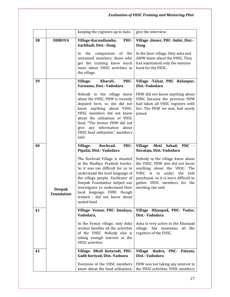|    |                                    | keeping the registers up to date.                                                                                                                                                                                                                                                                                                | give the interview.                                                                                                                                                                                                                        |
|----|------------------------------------|----------------------------------------------------------------------------------------------------------------------------------------------------------------------------------------------------------------------------------------------------------------------------------------------------------------------------------|--------------------------------------------------------------------------------------------------------------------------------------------------------------------------------------------------------------------------------------------|
| 38 | <b>DHRUVA</b>                      | Village-Karandiamba,<br>PHC-<br>Garkhadi, Dist. - Dang                                                                                                                                                                                                                                                                           | Village -Jinner, PHC -Subir, Dist.-<br>Dang                                                                                                                                                                                                |
|    |                                    | the<br>comparison of<br>the<br><sub>In</sub><br>untrained members, those who<br>got the training knew much<br>more about VHSC activities in<br>the village.                                                                                                                                                                      | In the Jiner village, Only asha and<br>AWW knew about the VHSC. They<br>had maintained only the minutes<br>book for the VHSC.                                                                                                              |
| 39 |                                    | Village-<br>Kharali,<br>PHC-<br>Varnama, Dist. - Vadodara                                                                                                                                                                                                                                                                        | Village -Talsat, PHC -Kelanpur,<br>Dist.-Vadodara                                                                                                                                                                                          |
|    |                                    | Nobody in the village knew<br>about the VHSC. FHW is recently<br>deputed here, so she did not<br>know anything about VHSC.<br>VHSC members did not know<br>about the utilization of VHSC<br>fund. "The former FHW did not<br>give any information about<br>VHSC fund utilization", members<br>said                               | FHW did not know anything about<br>VHSC because the previous FHW<br>had taken all VHSC registers with<br>her. The FHW we met, had newly<br>joined.                                                                                         |
| 40 |                                    | Village-<br>Kochvad,<br>PHC-<br>Pipalai, Dist.- Vadodara                                                                                                                                                                                                                                                                         | Village - Moti<br><b>PHC</b><br>Sakad;<br>Navalaja, Dist.-Vadodara                                                                                                                                                                         |
|    | <b>Deepak</b><br><b>Foundation</b> | The Kochvad Village is situated<br>at the Madhya Pradesh border.<br>So it was too difficult for us to<br>understand the local language of<br>the village people. Facilitator of<br>Deepak Foundation helped our<br>investigator to understand their<br>local language. FHW, though<br>trained, did not know about<br>untied fund | Nobody in the village knew about<br>the VHSC. FHW also did not know<br>anything about the VHSC. The<br>VHSC is<br>in<br>under<br>the<br>Juth<br>panchayat, so it is more difficult to<br>gather VHSC members for the<br>meeting, she said. |
| 41 |                                    | Village-Vemar, PHC-Smalaya,<br>Vadodara,                                                                                                                                                                                                                                                                                         | Village -Khunpad, PHC- Tudav,<br>Dist.-Vadodara                                                                                                                                                                                            |
|    |                                    | In the Vemar village, only Asha<br>worker handles all the activities<br>of the VHSC. Nobody else is<br>taking enough interest in the<br><b>VHSC</b> activities                                                                                                                                                                   | Asha is very active in the Khunpad<br>village. She maintains<br>all the<br>registers of the VHSC.                                                                                                                                          |
| 42 |                                    | Village- Dholi Kotaradi, PHC-<br>Gadh boriyad, Dist.-Vadoara                                                                                                                                                                                                                                                                     | Village -Kadva, PHC- Palasni,<br>Dist - Vadodara                                                                                                                                                                                           |
|    |                                    | Everyone of the VHSC members<br>knew about the fund utilization,                                                                                                                                                                                                                                                                 | FHW was not taking any interest in<br>the VHSC activities. VHSC members                                                                                                                                                                    |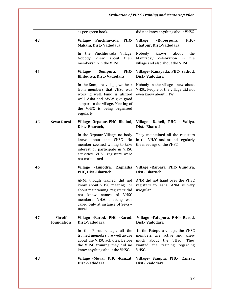|    |                             | as per green book.                                                                                                                                                                                                | did not know anything about VHSC                                                                                                                 |
|----|-----------------------------|-------------------------------------------------------------------------------------------------------------------------------------------------------------------------------------------------------------------|--------------------------------------------------------------------------------------------------------------------------------------------------|
| 43 |                             | PHC-<br>Village- Pinchhuvada,<br>Makani, Dist.- Vadodara                                                                                                                                                          | <b>Village</b><br>PHC-<br>-Kuberpura,<br>Bhatpur, Dist.-Vadodara                                                                                 |
|    |                             | Pinchhuvada Village,<br>the<br>In.<br>Nobody<br>knew<br>about<br>their<br>membership in the VHSC                                                                                                                  | about<br>the<br>Nobody<br>knows<br>Mamtaday<br>celebration<br>the<br>in<br>village and also about the VHSC.                                      |
| 44 |                             | PHC-<br>Village-<br>Sompura,<br>Bhilodiya, Dist.- Vadodara                                                                                                                                                        | Village- Kanayada, PHC- Sathod,<br>Dist - Vadodara                                                                                               |
|    |                             | In the Sompura village, we hear<br>from members that VHSC was<br>working well. Fund is utilized<br>well. Asha and AWW give good<br>support to the village. Meeting of<br>the VHSC is being organized<br>regularly | Nobody in the village knew about<br>VHSC. People of the village did not<br>even know about FHW                                                   |
| 45 | <b>Sewa Rural</b>           | Village-Orpatar, PHC-Bhalod,<br>Dist.- Bharuch,                                                                                                                                                                   | Village - Daheli, PHC - Valiya,<br>Dist.- Bharuch                                                                                                |
|    |                             | In the Orpatar Village, no body<br>knew about the VHSC. No<br>member seemed willing to take<br>interest or participate in VHSC<br>activities. VHSC registers were<br>not maintained                               | They maintained all the registers<br>in the VHSC and attend regularly<br>the meetings of the VHSC                                                |
| 46 |                             | Village -Limodra, Zaghadia<br>PHC, Dist.-Bharuch                                                                                                                                                                  | Village - Rajpara, PHC- Gundiya,<br>Dist.- Bharuch                                                                                               |
|    |                             | ANM, though trained, did not<br>know about VHSC meeting<br>or<br>about maintaining registers; did<br>not know names of VHSC<br>members; VHSC meeting was<br>called only at instance of Seva -<br>Rural            | ANM did not hand over the VHSC<br>registers to Asha. ANM is very<br>irregular.                                                                   |
| 47 | <b>Shroff</b><br>foundation | Village - Rarod, PHC - Rarod,<br>Dist.-Vadodara                                                                                                                                                                   | Village -Fatepura, PHC- Rarod,<br>Dist - Vadodara                                                                                                |
|    |                             | In the Rarod village, all the<br>trained memebrs are well aware<br>about the VHSC activites. Before<br>the VHSC training they did no<br>know anything about the VHSC.                                             | In the Fatepura village, the VHSC<br>members are active and knew<br>much about<br>the VHSC.<br>They<br>the training regarding<br>wanted<br>VHSC. |
| 48 |                             | Village -Muval, PHC -Kanzat,<br>Dist.-Vadodara                                                                                                                                                                    | Village- Sampla, PHC- Kanzat,<br>Dist - Vadodara                                                                                                 |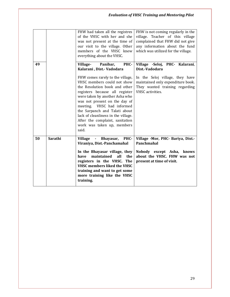|    |         | FHW had taken all the registres<br>of the VHSC with her and she<br>was not present at the time of<br>our visit to the village. Other<br>members of the VHSC knew<br>everything about the VHSC.                                                                                                                                                                                                                                                     | FHW is not coming regularly in the<br>village. Teacher of this village<br>complained that FHW did not give<br>any information about the fund<br>which was utilized for the village.   |
|----|---------|----------------------------------------------------------------------------------------------------------------------------------------------------------------------------------------------------------------------------------------------------------------------------------------------------------------------------------------------------------------------------------------------------------------------------------------------------|---------------------------------------------------------------------------------------------------------------------------------------------------------------------------------------|
| 49 |         | Village-<br>Panibar,<br>PHC-<br>Kalarani, Dist.- Vadodara<br>FHW comes rarely to the village,<br>VHSC members could not show<br>the Resolution book and other<br>registers because all register<br>were taken by another Asha who<br>was not present on the day of<br>meeting. VHSC had informed<br>the Sarpanch and Talati about<br>lack of cleanliness in the village.<br>After the complaint, sanitation<br>work was taken up, members<br>said. | Village -Seloj, PHC- Kalarani,<br>Dist.-Vadodara<br>In the Seloj village, they have<br>maintained only expenditure book.<br>They wanted training regarding<br><b>VHSC</b> activities. |
| 50 | Sarathi | PHC-<br><b>Village</b><br>Bhayasar,<br>$\blacksquare$<br>Viraniya, Dist.-Panchamahal<br>In the Bhayasar village, they<br>maintained<br>all<br>the<br>have<br>registers in the VHSC.<br><b>The</b><br><b>VHSC members liked the VHSC</b><br>training and want to get some<br>more training like the VHSC<br>training.                                                                                                                               | Village -Mor, PHC- Bariya, Dist.-<br>Panchmahal<br>Nobody except Asha, knows<br>about the VHSC. FHW was not<br>present at time of visit.                                              |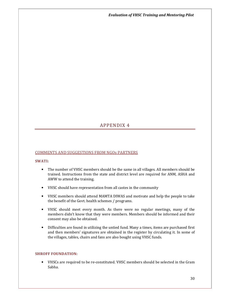Evaluation of VHSC Training and Mentoring Pilot

# APPENDIX 4

## COMMENTS AND SUGGESTIONS FROM NGOs PARTNERS

#### SWATI:

- The number of VHSC members should be the same in all villages. All members should be trained. Instructions from the state and district level are required for ANM, ASHA and AWW to attend the training.
- VHSC should have representation from all castes in the community
- VHSC members should attend MAMTA DIWAS and motivate and help the people to take the benefit of the Govt. health schemes / programs.
- VHSC should meet every month. As there were no regular meetings, many of the members didn't know that they were members. Members should be informed and their consent may also be obtained.
- Difficulties are found in utilizing the untied fund. Many a times, items are purchased first and then members' signatures are obtained in the register by circulating it. In some of the villages, tables, chairs and fans are also bought using VHSC funds.

## SHROFF FOUNDATION:

• VHSCs are required to be re-constituted. VHSC members should be selected in the Gram Sabha.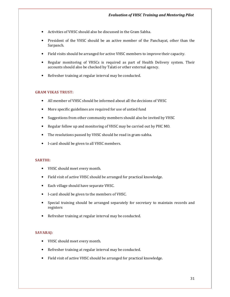- Activities of VHSC should also be discussed in the Gram Sabha.
- President of the VHSC should be an active member of the Panchayat, other than the Sarpanch.
- Field visits should be arranged for active VHSC members to improve their capacity.
- Regular monitoring of VHSCs is required as part of Health Delivery system. Their accounts should also be checked by Talati or other external agency.
- Refresher training at regular interval may be conducted.

#### GRAM VIKAS TRUST:

- All member of VHSC should be informed about all the decisions of VHSC
- More specific guidelines are required for use of untied fund
- Suggestions from other community members should also be invited by VHSC
- Regular follow up and monitoring of VHSC may be carried out by PHC MO.
- The resolutions passed by VHSC should be read in gram-sabha.
- I-card should be given to all VHSC members.

#### SARTHI:

- VHSC should meet every month.
- Field visit of active VHSC should be arranged for practical knowledge.
- Each village should have separate VHSC.
- I-card should be given to the members of VHSC.
- Special training should be arranged separately for secretary to maintain records and registers
- Refresher training at regular interval may be conducted.

#### SAVARAJ:

- VHSC should meet every month.
- Refresher training at regular interval may be conducted.
- Field visit of active VHSC should be arranged for practical knowledge.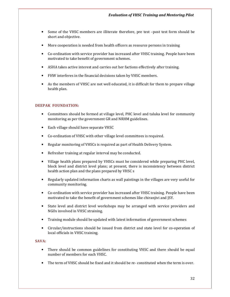- Some of the VHSC members are illiterate therefore, pre test –post test form should be short and objective.
- More cooperation is needed from health officers as resource persons in training
- Co-ordination with service provider has increased after VHSC training. People have been motivated to take benefit of government schemes.
- ASHA takes active interest and carries out her factions effectively after training.
- FHW interferes in the financial decisions taken by VHSC members.
- As the members of VHSC are not well educated, it is difficult for them to prepare village health plan.

# DEEPAK FOUNDATION:

- Committees should be formed at village level, PHC level and taluka level for community monitoring as per the government GR and NRHM guidelines.
- Each village should have separate VHSC
- Co-ordination of VHSC with other village level committees is required.
- Regular monitoring of VHSCs is required as part of Health Delivery System.
- Refresher training at regular interval may be conducted.
- Village health plans prepared by VHSCs must be considered while preparing PHC level, block level and district level plans; at present, there is inconsistency between district health action plan and the plans prepared by VHSC s
- Regularly updated information charts as wall paintings in the villages are very useful for community monitoring.
- Co-ordination with service provider has increased after VHSC training. People have been motivated to take the benefit of government schemes like chiranjivi and JSY.
- State level and district level workshops may be arranged with service providers and NGOs involved in VHSC straining.
- Training module should be updated with latest information of government schemes
- Circular/instructions should be issued from district and state level for co-operation of local officials in VHSC training.

## SAVA:

- There should be common guidelines for constituting VHSC and there should be equal number of members for each VHSC.
- The term of VHSC should be fixed and it should be re- constituted when the term is over.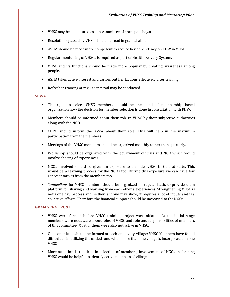- VHSC may be constituted as sub-committee of gram panchayat.
- Resolutions passed by VHSC should be read in gram shabha.
- ASHA should be made more competent to reduce her dependency on FHW in VHSC.
- Regular monitoring of VHSCs is required as part of Health Delivery System.
- VHSC and its functions should be made more popular by creating awareness among people.
- ASHA takes active interest and carries out her factions effectively after training.
- Refresher training at regular interval may be conducted.

#### SEWA:

- The right to select VHSC members should be the hand of membership based organization now the decision for member selection is done in consultation with FHW.
- Members should be informed about their role in VHSC by their subjective authorities along with the NGO.
- CDPO should inform the AWW about their role. This will help in the maximum participation from the members.
- Meetings of the VHSC members should be organized monthly rather than quarterly.
- Workshop should be organized with the government officials and NGO which would involve sharing of experiences.
- NGOs involved should be given an exposure to a model VHSC in Gujarat state. This would be a learning process for the NGOs too. During this exposure we can have few representatives from the members too.
- Sammellans for VHSC members should be organized on regular basis to provide them platform for sharing and learning from each other's experiences. Strengthening VHSC is not a one day process and neither is it one man show, it requires a lot of inputs and is a collective efforts. Therefore the financial support should be increased to the NGOs.

#### GRAM SEVA TRUST:

- VHSC were formed before VHSC training project was initiated. At the initial stage members were not aware about roles of VHSC and role and responsibilities of members of this committee. Most of them were also not active in VHSC.
- One committee should be formed at each and every village; VHSC Members have found difficulties in utilizing the untied fund when more than one village is incorporated in one VHSC.
- More attention is required in selection of members; involvement of NGOs in forming VHSC would be helpful to identify active members of villages.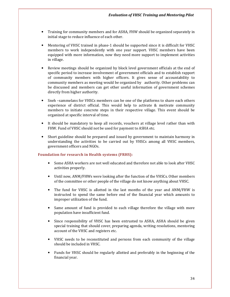- Training for community members and for ASHA, FHW should be organized separately in initial stage to reduce influence of each other.
- Mentoring of VHSC trained in phase-1 should be supported since it is difficult for VHSC members to work independently with one year support. VHSC members have been equipped with more information, now they need more support to implement activities in village.
- Review meetings should be organized by block level government officials at the end of specific period to increase involvement of government officials and to establish rapport of community members with higher officers. It gives sense of accountability to community members as meeting would be organized by authority. Other problems can be discussed and members can get other useful information of government schemes directly from higher authority.
- Sneh –sammelans for VHSCs members can be one of the platforms to share each others experience of district official. This would help to activate & motivate community members to initiate concrete steps in their respective village. This event should be organized at specific interval of time.
- It should be mandatory to keep all records, vouchers at village level rather than with FHW. Fund of VHSC should not be used for payment to ASHA etc.
- Short guideline should be prepared and issued by government to maintain harmony in understanding the activities to be carried out by VHSCs among all VHSC members, government officers and NGOs.

## Foundation for research in Health systems (FRHS):

- Some ASHA workers are not well educated and therefore not able to look after VHSC activities properly.
- Until now, ANM/FHWs were looking after the function of the VHSCs. Other members of the committee or other people of the village do not know anything about VHSC.
- The fund for VHSC is allotted in the last months of the year and ANM/FHW is instructed to spend the same before end of the financial year which amounts to improper utilization of the fund.
- Same amount of fund is provided to each village therefore the village with more population have insufficient fund.
- Since responsibility of VHSC has been entrusted to ASHA, ASHA should be given special training that should cover, preparing agenda, writing resolutions, mentoring account of the VHSC and registers etc.
- VHSC needs to be reconstituted and persons from each community of the village should be included in VHSC.
- Funds for VHSC should be regularly allotted and preferably in the beginning of the financial year.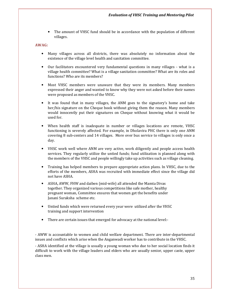The amount of VHSC fund should be in accordance with the population of different villages.

## AWAG:

- Many villages across all districts, there was absolutely no information about the existence of the village level health and sanitation committee.
- Our facilitators encountered very fundamental questions in many villages what is a village health committee? What is a village sanitation committee? What are its roles and functions? Who are its members?
- Most VHSC members were unaware that they were its members. Many members expressed their anger and wanted to know why they were not asked before their names were proposed as members of the VHSC.
- It was found that in many villages, the ANM goes to the signatory's home and take her/his signature on the Cheque book without giving them the reason. Many members would innocently put their signatures on Cheque without knowing what it would be used for.
- When health staff is inadequate in number or villages locations are remote, VHSC functioning is severely affected. For example, in Dholavira PHC there is only one ANM covering 8 sub-centers and 14 villages. More over bus service to villages is only once a day.
- VHSC work well where ANM are very active, work diligently and people access health services. They regularly utilize the untied funds; fund utilization is planned along with the members of the VHSC and people willingly take up activities such as village cleaning.
- Training has helped members to prepare appropriate action plans. In VHSC, due to the efforts of the members, ASHA was recruited with immediate effect since the village did not have ASHA.
- ASHA, AWW, FHW and daiben (mid-wife) all attended the Mamta Divas together. They organized various competitions like safe mother, healthy pregnant woman, Committee ensures that women get the benefits under Janani Suraksha scheme etc.
- Untied funds which were returned every year were utilized after the VHSC training and support intervention
- There are certain issues that emerged for advocacy at the national level:-

- AWW is accountable to women and child welfare department. There are inter-departmental issues and conflicts which arise when the Anganwadi worker has to contribute in the VHSC.

- ASHA identified at the village is usually a young woman who due to her social location finds it difficult to work with the village leaders and elders who are usually senior, upper caste, upper class men.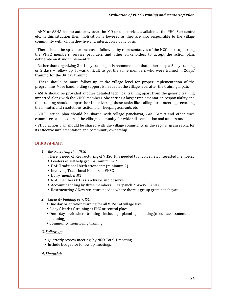- ANM or ASHA has no authority over the MO or the services available at the PHC, Sub-centre etc. In this situation their motivation is lowered as they are also responsible to the village community with whom they live and interact on a daily basis.

- There should be space for increased follow up by representatives of the NGOs for supporting the VHSC members, service providers and other stakeholders to accept the action plan, deliberate on it and implement it.

- Rather than organizing  $2 + 1$  day training, it is recommended that either keep a 3 day training or 2 days + follow up. It was difficult to get the same members who were trained in 2days' training, for the 3rd day training.

- There should be more follow up at the village level for proper implementation of the programme. More handholding support is needed at the village level after the training inputs.

- ASHA should be provided another detailed technical training apart from the generic training imparted along with the VHSC members. She carries a larger implementation responsibility and this training should support her in delivering those tasks like calling for a meeting, recording the minutes and resolutions, action plan, keeping accounts etc.

- VHSC action plan should be shared with village panchayat, *Pani Samiti* and other such committees and leaders of the village community for wider dissemination and understanding.

- VHSC action plan should be shared with the village community in the regular gram sabha for its effective implementation and community ownership.

#### DHRUVA-BAIF:

1. Restructuring the VHSC

There is need of Restructuring of VHSC. It is needed to involve new interested members:

- Leaders of self help groups.(minimum:2)
- DAI: Traditional birth attendant: (minimum:2)
- Involving Traditional Healers in VHSC.
- Dairy member:01
- NGO members:01 (as a advisor and observer)
- Account handling by three members: 1. sarpanch 2. AWW 3.ASHA
- Restructuring / New structure needed where there is group gram panchayat.

#### 2. Capacity building of VHSC:

- One day orientation training for all VHSC: at village level.
- 2 days' leaders' training at PHC or central place
- One day refresher training including planning meeting.(need assessment and planning).
- Community monitoring training.
- 3. Follow up:
	- Quarterly review meeting: by NGO.Total 4 meeting.
	- Include budget for follow up meetings.

#### 4. Financial: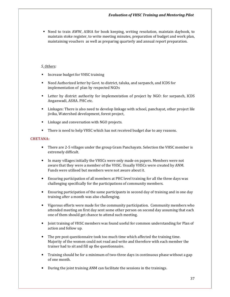Need to train AWW, ASHA for book keeping, writing resolution, maintain daybook, to maintain stoke register, to write meeting minutes, preparation of budget and work plan, maintaining vouchers as well as preparing quarterly and annual report preparation.

#### 5. Others:

- **Increase budget for VHSC training**
- Need Authorized letter by Govt. to district, taluka, and sarpanch, and ICDS for implementation of plan by respected NGOs
- Letter by district authority for implementation of project by NGO: for sarpanch, ICDS Anganwadi, ASHA. PHC etc.
- Linkages: There is also need to develop linkage with school, panchayat, other project lile jivika, Watershed development, forest project,
- Linkage and conversation with NGO projects.
- There is need to help VHSC which has not received budget due to any reasons.

#### CHETANA:

- There are 2-5 villages under the group Gram Panchayats. Selection the VHSC member is extremely difficult.
- In many villages initially the VHSCs were only made on papers. Members were not aware that they were a member of the VHSC. Usually VHSCs were created by ANM. Funds were utilised but members were not aware about it.
- Ensuring participation of all members at PHC level training for all the three days was challenging specifically for the participations of community members.
- Ensuring participation of the same participants in second day of training and in one day training after a month was also challenging.
- Vigorous efforts were made for the community participation. Community members who attended meeting on first day sent some other person on second day assuming that each one of them should get chance to attend such meeting.
- Joint training of VHSC members was found useful for common understanding for Plan of action and follow up.
- The pre post questionnaire took too much time which affected the training time. Majority of the women could not read and write and therefore with each member the trainer had to sit and fill up the questionnaire.
- Training should be for a minimum of two-three days in continuous phase without a gap of one month.
- During the joint training ANM can facilitate the sessions in the trainings.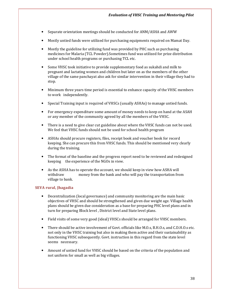- Separate orientation meetings should be conducted for ANM/ASHA and AWW
- Mostly untied funds were utilized for purchasing equipments required on Mamat Day.
- Mostly the guideline for utilizing fund was provided by PHC such as purchasing medicines for Malaria (TCL Powder).Sometimes fund was utilized for prize distribution under school health programs or purchasing TCL etc.
- Some VHSC took initiative to provide supplementary food as sukahdi and milk to pregnant and lactating women and children but later on as the members of the other village of the same panchayat also ask for similar intervention in their village they had to stop.
- Minimum three years time period is essential to enhance capacity of the VHSC members to work independently.
- Special Training input is required of VHSCs (usually ASHAs) to manage untied funds.
- For emergency expenditure some amount of money needs to keep on hand at the ASAH or any member of the community agreed by all the members of the VHSC.
- There is a need to give clear cut guideline about where the VHSC funds can not be used. We feel that VHSC funds should not be used for school health program
- ASHAs should procure registers, files, receipt book and voucher book for record keeping. She can procure this from VHSC funds. This should be mentioned very clearly during the training.
- The format of the baseline and the progress report need to be reviewed and redesigned keeping the experience of the NGOs in view.
- As the ASHA has to operate the account, we should keep in view how ASHA will withdraw money from the bank and who will pay the transportation from village to bank.

# SEVA rural, Jhagadia

- Decentralization (local governance) and community monitoring are the main basic objectives of VHSC and should be strengthened and given due weight age. Village health plans should be given due consideration as a base for preparing PHC level plans and in turn for preparing Block level , District level and State level plans.
- Field visits of some very good (ideal) VHSCs should be arranged for VHSC members.
- There should be active involvement of Govt. officials like M.O.s, B.H.O.s, and C.D.H.O.s etc. not only in the VHSC training but also in making them active and their sustainability as functioning VHSC subsequently. Govt. instruction in this regard from the state level seems necessary.
- Amount of untied fund for VHSC should be based on the criteria of the population and not uniform for small as well as big villages.